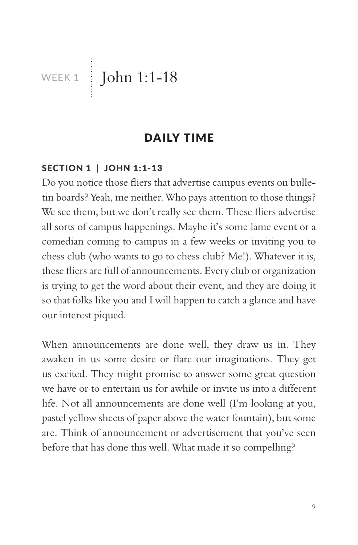WEEK 1 **John 1:1-18** 

## DAILY TIME

### SECTION 1 | JOHN 1:1-13

Do you notice those fliers that advertise campus events on bulletin boards? Yeah, me neither. Who pays attention to those things? We see them, but we don't really see them. These fliers advertise all sorts of campus happenings. Maybe it's some lame event or a comedian coming to campus in a few weeks or inviting you to chess club (who wants to go to chess club? Me!). Whatever it is, these fliers are full of announcements. Every club or organization is trying to get the word about their event, and they are doing it so that folks like you and I will happen to catch a glance and have our interest piqued.

When announcements are done well, they draw us in. They awaken in us some desire or flare our imaginations. They get us excited. They might promise to answer some great question we have or to entertain us for awhile or invite us into a different life. Not all announcements are done well (I'm looking at you, pastel yellow sheets of paper above the water fountain), but some are. Think of announcement or advertisement that you've seen before that has done this well. What made it so compelling?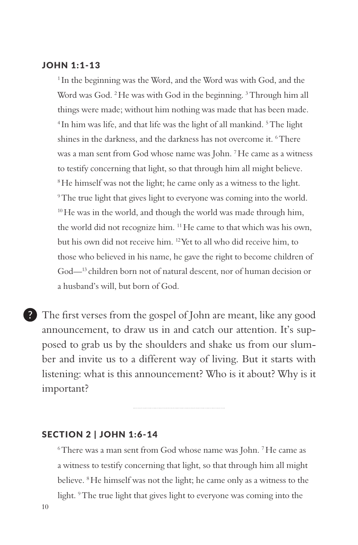### JOHN 1:1-13

<sup>1</sup> In the beginning was the Word, and the Word was with God, and the Word was God. <sup>2</sup> He was with God in the beginning. <sup>3</sup> Through him all things were made; without him nothing was made that has been made. <sup>4</sup> In him was life, and that life was the light of all mankind. <sup>5</sup> The light shines in the darkness, and the darkness has not overcome it. <sup>6</sup>There was a man sent from God whose name was John. 7 He came as a witness to testify concerning that light, so that through him all might believe. <sup>8</sup>He himself was not the light; he came only as a witness to the light. <sup>9</sup> The true light that gives light to everyone was coming into the world.  $10$  He was in the world, and though the world was made through him, the world did not recognize him. 11 He came to that which was his own, but his own did not receive him. 12 Yet to all who did receive him, to those who believed in his name, he gave the right to become children of God—13 children born not of natural descent, nor of human decision or a husband's will, but born of God.

The first verses from the gospel of John are meant, like any good announcement, to draw us in and catch our attention. It's supposed to grab us by the shoulders and shake us from our slumber and invite us to a different way of living. But it starts with listening: what is this announcement? Who is it about? Why is it important?

### SECTION 2 | JOHN 1:6-14

6 There was a man sent from God whose name was John. 7 He came as a witness to testify concerning that light, so that through him all might believe. 8 He himself was not the light; he came only as a witness to the light. 9 The true light that gives light to everyone was coming into the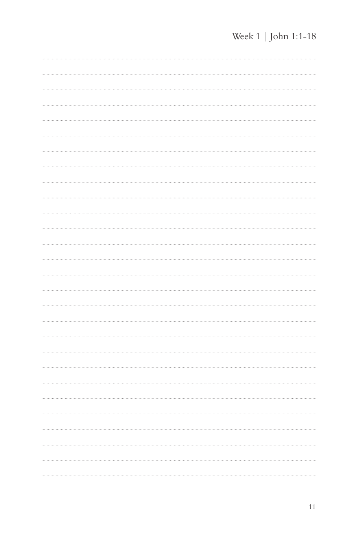| $WCCK 1$   JOILL 1.1-10 |
|-------------------------|
|                         |
|                         |
|                         |
|                         |
|                         |
|                         |
|                         |
|                         |
|                         |
|                         |
|                         |
|                         |
|                         |
|                         |
|                         |
|                         |
|                         |
|                         |
|                         |
|                         |
|                         |
|                         |
|                         |
|                         |
|                         |
|                         |
|                         |
|                         |
|                         |
|                         |
|                         |
|                         |
|                         |
|                         |
|                         |
|                         |
|                         |
|                         |
|                         |
|                         |
|                         |
|                         |
|                         |
|                         |
|                         |
|                         |
|                         |
|                         |
|                         |
|                         |
|                         |
|                         |
|                         |
|                         |
|                         |
|                         |
|                         |
|                         |
|                         |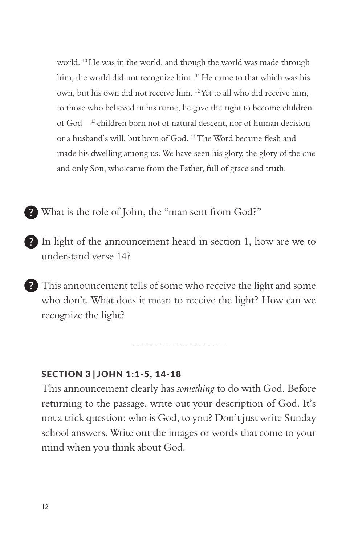world. 10 He was in the world, and though the world was made through him, the world did not recognize him. 11 He came to that which was his own, but his own did not receive him. 12 Yet to all who did receive him, to those who believed in his name, he gave the right to become children of God—13 children born not of natural descent, nor of human decision or a husband's will, but born of God. 14 The Word became flesh and made his dwelling among us. We have seen his glory, the glory of the one and only Son, who came from the Father, full of grace and truth.



What is the role of John, the "man sent from God?"



This announcement tells of some who receive the light and some who don't. What does it mean to receive the light? How can we recognize the light?

#### SECTION 3 | JOHN 1:1-5, 14-18

This announcement clearly has *something* to do with God. Before returning to the passage, write out your description of God. It's not a trick question: who is God, to you? Don't just write Sunday school answers. Write out the images or words that come to your mind when you think about God.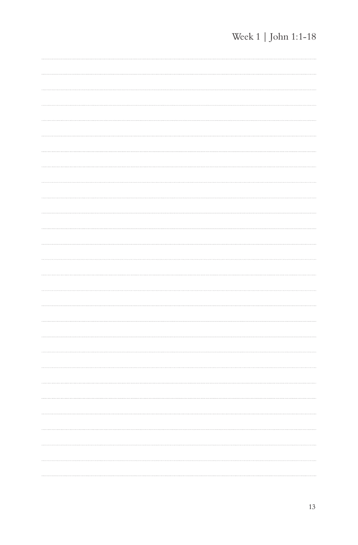| $WCCN = 1$ JOILL 1.1-10 |
|-------------------------|
|                         |
|                         |
|                         |
|                         |
|                         |
|                         |
|                         |
|                         |
|                         |
|                         |
|                         |
|                         |
|                         |
|                         |
|                         |
|                         |
|                         |
|                         |
|                         |
|                         |
|                         |
|                         |
|                         |
|                         |
|                         |
|                         |
|                         |
|                         |
|                         |
|                         |
|                         |
|                         |
|                         |
|                         |
|                         |
|                         |
|                         |
|                         |
|                         |
|                         |
|                         |
|                         |
|                         |
|                         |
|                         |
|                         |
|                         |
|                         |
|                         |
|                         |
|                         |
|                         |
|                         |
|                         |
|                         |
|                         |
|                         |
|                         |
|                         |
|                         |
|                         |
|                         |
|                         |
|                         |
|                         |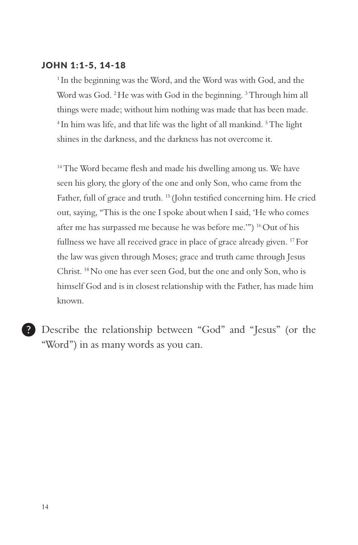#### JOHN 1:1-5, 14-18

<sup>1</sup> In the beginning was the Word, and the Word was with God, and the Word was God. <sup>2</sup> He was with God in the beginning. <sup>3</sup> Through him all things were made; without him nothing was made that has been made. <sup>4</sup> In him was life, and that life was the light of all mankind. <sup>5</sup> The light shines in the darkness, and the darkness has not overcome it.

<sup>14</sup> The Word became flesh and made his dwelling among us. We have seen his glory, the glory of the one and only Son, who came from the Father, full of grace and truth. <sup>15</sup> (John testified concerning him. He cried out, saying, "This is the one I spoke about when I said, 'He who comes after me has surpassed me because he was before me.'") 16 Out of his fullness we have all received grace in place of grace already given. 17 For the law was given through Moses; grace and truth came through Jesus Christ. 18 No one has ever seen God, but the one and only Son, who is himself God and is in closest relationship with the Father, has made him known.



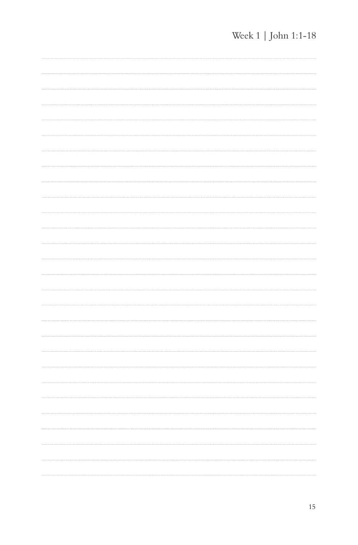| Week 1   John 1:1-18 |  |  |
|----------------------|--|--|
|----------------------|--|--|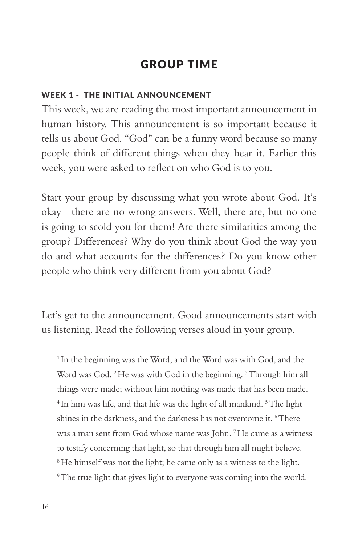# GROUP TIME

#### WEEK 1 - THE INITIAL ANNOUNCEMENT

This week, we are reading the most important announcement in human history. This announcement is so important because it tells us about God. "God" can be a funny word because so many people think of different things when they hear it. Earlier this week, you were asked to reflect on who God is to you.

Start your group by discussing what you wrote about God. It's okay—there are no wrong answers. Well, there are, but no one is going to scold you for them! Are there similarities among the group? Differences? Why do you think about God the way you do and what accounts for the differences? Do you know other people who think very different from you about God?

Let's get to the announcement. Good announcements start with us listening. Read the following verses aloud in your group.

<sup>1</sup> In the beginning was the Word, and the Word was with God, and the Word was God. <sup>2</sup> He was with God in the beginning. <sup>3</sup> Through him all things were made; without him nothing was made that has been made. <sup>4</sup> In him was life, and that life was the light of all mankind. <sup>5</sup> The light shines in the darkness, and the darkness has not overcome it. <sup>6</sup>There was a man sent from God whose name was John. 7 He came as a witness to testify concerning that light, so that through him all might believe. <sup>8</sup>He himself was not the light; he came only as a witness to the light. <sup>9</sup> The true light that gives light to everyone was coming into the world.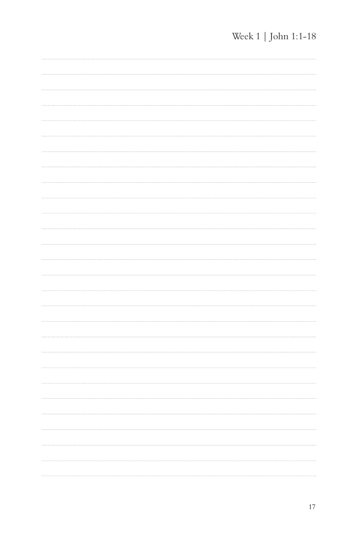| $\frac{1}{2}$ |
|---------------|
|               |
|               |
|               |
|               |
|               |
|               |
|               |
|               |
|               |
|               |
|               |
|               |
|               |
|               |
|               |
|               |
|               |
|               |
|               |
|               |
|               |
|               |
|               |
|               |
|               |
|               |
|               |
|               |
|               |
|               |
|               |
|               |
|               |
|               |
|               |
|               |
|               |
|               |
|               |
|               |
|               |
|               |
|               |
|               |
|               |
|               |
|               |
|               |
|               |
|               |
|               |
|               |
|               |
|               |
|               |
|               |
|               |
|               |
|               |
|               |
|               |
|               |
|               |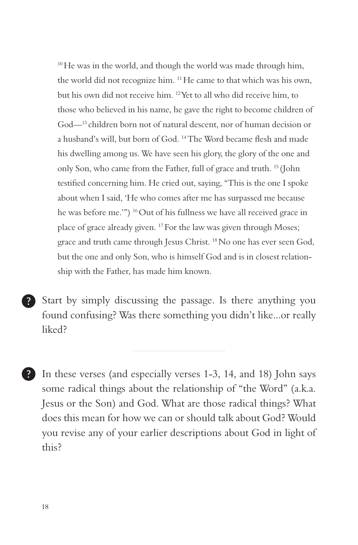<sup>10</sup> He was in the world, and though the world was made through him, the world did not recognize him. 11 He came to that which was his own, but his own did not receive him. 12 Yet to all who did receive him, to those who believed in his name, he gave the right to become children of God—13 children born not of natural descent, nor of human decision or a husband's will, but born of God. 14 The Word became flesh and made his dwelling among us. We have seen his glory, the glory of the one and only Son, who came from the Father, full of grace and truth. 15 (John testified concerning him. He cried out, saying, "This is the one I spoke about when I said, 'He who comes after me has surpassed me because he was before me.'") 16 Out of his fullness we have all received grace in place of grace already given. 17 For the law was given through Moses; grace and truth came through Jesus Christ. 18 No one has ever seen God, but the one and only Son, who is himself God and is in closest relationship with the Father, has made him known.

Start by simply discussing the passage. Is there anything you found confusing? Was there something you didn't like...or really liked?

In these verses (and especially verses 1-3, 14, and 18) John says some radical things about the relationship of "the Word" (a.k.a. Jesus or the Son) and God. What are those radical things? What does this mean for how we can or should talk about God? Would you revise any of your earlier descriptions about God in light of this?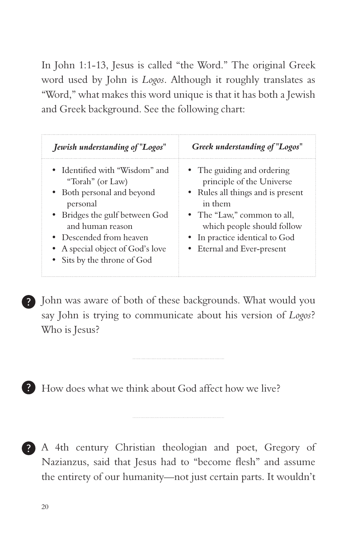In John 1:1-13, Jesus is called "the Word." The original Greek word used by John is *Logos*. Although it roughly translates as "Word," what makes this word unique is that it has both a Jewish and Greek background. See the following chart:

| Jewish understanding of "Logos"                                                                                                                                                                                                                  | Greek understanding of "Logos"                                                                                                                                                                                                       |
|--------------------------------------------------------------------------------------------------------------------------------------------------------------------------------------------------------------------------------------------------|--------------------------------------------------------------------------------------------------------------------------------------------------------------------------------------------------------------------------------------|
| • Identified with "Wisdom" and<br>"Torah" (or Law)<br>• Both personal and beyond<br>personal<br>• Bridges the gulf between God<br>and human reason<br>• Descended from heaven<br>• A special object of God's love<br>• Sits by the throne of God | • The guiding and ordering<br>principle of the Universe<br>• Rules all things and is present<br>in them<br>• The "Law," common to all,<br>which people should follow<br>• In practice identical to God<br>• Eternal and Ever-present |

John was aware of both of these backgrounds. What would you say John is trying to communicate about his version of *Logos*? Who is Jesus?

How does what we think about God affect how we live?

A 4th century Christian theologian and poet, Gregory of Nazianzus, said that Jesus had to "become flesh" and assume the entirety of our humanity—not just certain parts. It wouldn't